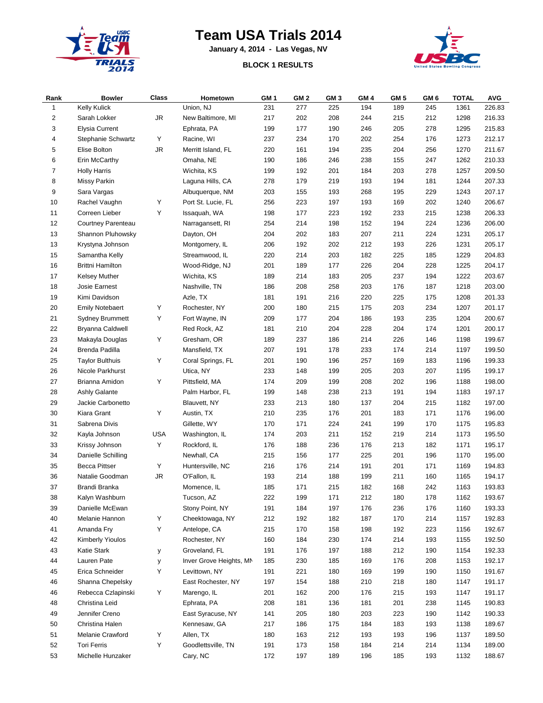

## **Team USA Trials 2014**

**January 4, 2014 - Las Vegas, NV**





| Rank | <b>Bowler</b>           | <b>Class</b> | Hometown                | GM <sub>1</sub> | GM <sub>2</sub> | GM 3 | GM <sub>4</sub> | GM 5 | GM <sub>6</sub> | <b>TOTAL</b> | <b>AVG</b> |
|------|-------------------------|--------------|-------------------------|-----------------|-----------------|------|-----------------|------|-----------------|--------------|------------|
| 1    | <b>Kelly Kulick</b>     |              | Union, NJ               | 231             | 277             | 225  | 194             | 189  | 245             | 1361         | 226.83     |
| 2    | Sarah Lokker            | <b>JR</b>    | New Baltimore, MI       | 217             | 202             | 208  | 244             | 215  | 212             | 1298         | 216.33     |
| 3    | <b>Elysia Current</b>   |              | Ephrata, PA             | 199             | 177             | 190  | 246             | 205  | 278             | 1295         | 215.83     |
| 4    | Stephanie Schwartz      | Y            | Racine, WI              | 237             | 234             | 170  | 202             | 254  | 176             | 1273         | 212.17     |
| 5    | Elise Bolton            | <b>JR</b>    | Merritt Island, FL      | 220             | 161             | 194  | 235             | 204  | 256             | 1270         | 211.67     |
| 6    | Erin McCarthy           |              | Omaha, NE               | 190             | 186             | 246  | 238             | 155  | 247             | 1262         | 210.33     |
| 7    | <b>Holly Harris</b>     |              | Wichita, KS             | 199             | 192             | 201  | 184             | 203  | 278             | 1257         | 209.50     |
| 8    | Missy Parkin            |              | Laguna Hills, CA        | 278             | 179             | 219  | 193             | 194  | 181             | 1244         | 207.33     |
| 9    | Sara Vargas             |              | Albuquerque, NM         | 203             | 155             | 193  | 268             | 195  | 229             | 1243         | 207.17     |
| 10   | Rachel Vaughn           | Υ            | Port St. Lucie, FL      | 256             | 223             | 197  | 193             | 169  | 202             | 1240         | 206.67     |
| 11   | Correen Lieber          | Υ            | Issaquah, WA            | 198             | 177             | 223  | 192             | 233  | 215             | 1238         | 206.33     |
| 12   | Courtney Parenteau      |              | Narragansett, RI        | 254             | 214             | 198  | 152             | 194  | 224             | 1236         | 206.00     |
| 13   | Shannon Pluhowsky       |              | Dayton, OH              | 204             | 202             | 183  | 207             | 211  | 224             | 1231         | 205.17     |
| 13   | Krystyna Johnson        |              | Montgomery, IL          | 206             | 192             | 202  | 212             | 193  | 226             | 1231         | 205.17     |
| 15   | Samantha Kelly          |              | Streamwood, IL          | 220             | 214             | 203  | 182             | 225  | 185             | 1229         | 204.83     |
| 16   | <b>Brittni Hamilton</b> |              | Wood-Ridge, NJ          | 201             | 189             | 177  | 226             | 204  | 228             | 1225         | 204.17     |
| 17   | Kelsey Muther           |              | Wichita, KS             | 189             | 214             | 183  | 205             | 237  | 194             | 1222         | 203.67     |
| 18   | Josie Earnest           |              | Nashville, TN           | 186             | 208             | 258  | 203             | 176  | 187             | 1218         | 203.00     |
| 19   | Kimi Davidson           |              | Azle, TX                | 181             | 191             | 216  | 220             | 225  | 175             | 1208         | 201.33     |
| 20   | <b>Emily Notebaert</b>  | Y            | Rochester, NY           | 200             | 180             | 215  | 175             | 203  | 234             | 1207         | 201.17     |
| 21   | <b>Sydney Brummett</b>  | Υ            | Fort Wayne, IN          | 209             | 177             | 204  | 186             | 193  | 235             | 1204         | 200.67     |
| 22   | Bryanna Caldwell        |              | Red Rock, AZ            | 181             | 210             | 204  | 228             | 204  | 174             | 1201         | 200.17     |
| 23   | Makayla Douglas         | Y            | Gresham, OR             | 189             | 237             | 186  | 214             | 226  | 146             | 1198         | 199.67     |
| 24   | Brenda Padilla          |              | Mansfield, TX           | 207             | 191             | 178  | 233             | 174  | 214             | 1197         | 199.50     |
| 25   | <b>Taylor Bulthuis</b>  | Y            | Coral Springs, FL       | 201             | 190             | 196  | 257             | 169  | 183             | 1196         | 199.33     |
| 26   | Nicole Parkhurst        |              | Utica, NY               | 233             | 148             | 199  | 205             | 203  | 207             | 1195         | 199.17     |
| 27   | Brianna Amidon          | Υ            | Pittsfield, MA          | 174             | 209             | 199  | 208             | 202  | 196             | 1188         | 198.00     |
| 28   | <b>Ashly Galante</b>    |              | Palm Harbor, FL         | 199             | 148             | 238  | 213             | 191  | 194             | 1183         | 197.17     |
| 29   | Jackie Carbonetto       |              | Blauvett, NY            | 233             | 213             | 180  | 137             | 204  | 215             | 1182         | 197.00     |
| 30   | Kiara Grant             | Υ            | Austin, TX              | 210             | 235             | 176  | 201             | 183  | 171             | 1176         | 196.00     |
| 31   | Sabrena Divis           |              | Gillette, WY            | 170             | 171             | 224  | 241             | 199  | 170             | 1175         | 195.83     |
| 32   | Kayla Johnson           | <b>USA</b>   | Washington, IL          | 174             | 203             | 211  | 152             | 219  | 214             | 1173         | 195.50     |
| 33   | Krissy Johnson          | Y            | Rockford, IL            | 176             | 188             | 236  | 176             | 213  | 182             | 1171         | 195.17     |
| 34   | Danielle Schilling      |              | Newhall, CA             | 215             | 156             | 177  | 225             | 201  | 196             | 1170         | 195.00     |
| 35   | <b>Becca Pittser</b>    | Y            | Huntersville, NC        | 216             | 176             | 214  | 191             | 201  | 171             | 1169         | 194.83     |
| 36   | Natalie Goodman         | <b>JR</b>    | O'Fallon, IL            | 193             | 214             | 188  | 199             | 211  | 160             | 1165         | 194.17     |
| 37   | Brandi Branka           |              | Momence, IL             | 185             | 171             | 215  | 182             | 168  | 242             | 1163         | 193.83     |
| 38   | Kalyn Washburn          |              | Tucson, AZ              | 222             | 199             | 171  | 212             | 180  | 178             | 1162         | 193.67     |
| 39   | Danielle McEwan         |              | Stony Point, NY         | 191             | 184             | 197  | 176             | 236  | 176             | 1160         | 193.33     |
| 40   | Melanie Hannon          | Y            | Cheektowaga, NY         | 212             | 192             | 182  | 187             | 170  | 214             | 1157         | 192.83     |
| 41   | Amanda Fry              | Y            | Antelope, CA            | 215             | 170             | 158  | 198             | 192  | 223             | 1156         | 192.67     |
| 42   | <b>Kimberly Yioulos</b> |              | Rochester, NY           | 160             | 184             | 230  | 174             | 214  | 193             | 1155         | 192.50     |
| 43   | Katie Stark             | у            | Groveland, FL           | 191             | 176             | 197  | 188             | 212  | 190             | 1154         | 192.33     |
| 44   | Lauren Pate             | у            | Inver Grove Heights, MN | 185             | 230             | 185  | 169             | 176  | 208             | 1153         | 192.17     |
| 45   | Erica Schneider         | Y            | Levittown, NY           | 191             | 221             | 180  | 169             | 199  | 190             | 1150         | 191.67     |
| 46   | Shanna Chepelsky        |              | East Rochester, NY      | 197             | 154             | 188  | 210             | 218  | 180             | 1147         | 191.17     |
| 46   | Rebecca Czlapinski      | Y            | Marengo, IL             | 201             | 162             | 200  | 176             | 215  | 193             | 1147         | 191.17     |
| 48   | Christina Leid          |              | Ephrata, PA             | 208             | 181             | 136  | 181             | 201  | 238             | 1145         | 190.83     |
| 49   | Jennifer Creno          |              | East Syracuse, NY       | 141             | 205             | 180  | 203             | 223  | 190             | 1142         | 190.33     |
| 50   | Christina Halen         |              | Kennesaw, GA            | 217             | 186             | 175  | 184             | 183  | 193             | 1138         | 189.67     |
| 51   | Melanie Crawford        | Y            | Allen, TX               | 180             | 163             | 212  | 193             | 193  | 196             | 1137         | 189.50     |
| 52   | <b>Tori Ferris</b>      | Y            | Goodlettsville, TN      | 191             | 173             | 158  | 184             | 214  | 214             | 1134         | 189.00     |
| 53   | Michelle Hunzaker       |              | Cary, NC                | 172             | 197             | 189  | 196             | 185  | 193             | 1132         | 188.67     |
|      |                         |              |                         |                 |                 |      |                 |      |                 |              |            |